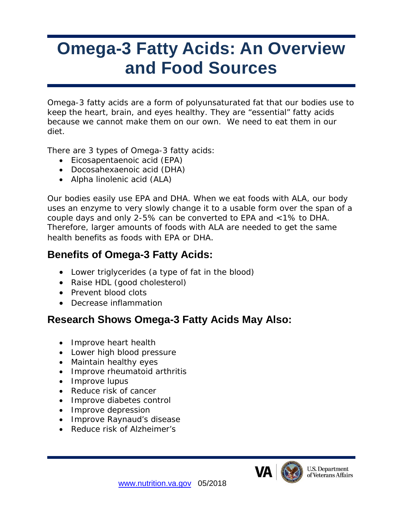# **Omega-3 Fatty Acids: An Overview and Food Sources**

Omega-3 fatty acids are a form of polyunsaturated fat that our bodies use to keep the heart, brain, and eyes healthy. They are "essential" fatty acids because we cannot make them on our own. We need to eat them in our diet.

There are 3 types of Omega-3 fatty acids:

- Eicosapentaenoic acid (EPA)
- Docosahexaenoic acid (DHA)
- Alpha linolenic acid (ALA)

Our bodies easily use EPA and DHA. When we eat foods with ALA, our body uses an enzyme to very slowly change it to a usable form over the span of a couple days and only 2-5% can be converted to EPA and <1% to DHA. Therefore, larger amounts of foods with ALA are needed to get the same health benefits as foods with EPA or DHA.

# **Benefits of Omega-3 Fatty Acids:**

- Lower triglycerides (a type of fat in the blood)
- Raise HDL (good cholesterol)
- Prevent blood clots
- Decrease inflammation

#### **Research Shows Omega-3 Fatty Acids May Also:**

- Improve heart health
- Lower high blood pressure
- Maintain healthy eyes
- Improve rheumatoid arthritis
- Improve lupus
- Reduce risk of cancer
- Improve diabetes control
- Improve depression
- Improve Raynaud's disease
- Reduce risk of Alzheimer's



**U.S. Department** f Veterans Affairs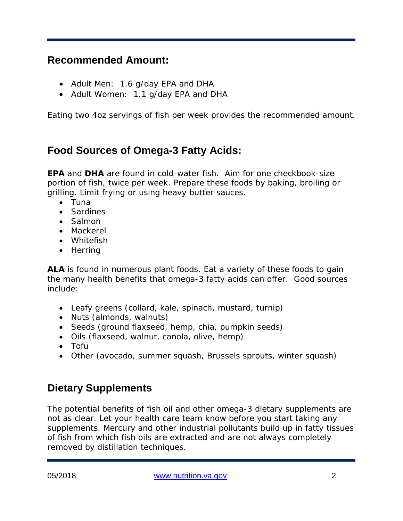#### **Recommended Amount:**

- Adult Men: 1.6 g/day EPA and DHA
- Adult Women: 1.1 g/day EPA and DHA

Eating two 4oz servings of fish per week provides the recommended amount.

# **Food Sources of Omega-3 Fatty Acids:**

**EPA** and **DHA** are found in cold-water fish. Aim for one checkbook-size portion of fish, twice per week. Prepare these foods by baking, broiling or grilling. Limit frying or using heavy butter sauces.

- Tuna
- Sardines
- Salmon
- Mackerel
- Whitefish
- Herring

**ALA** is found in numerous plant foods. Eat a variety of these foods to gain the many health benefits that omega-3 fatty acids can offer. Good sources include:

- Leafy greens (collard, kale, spinach, mustard, turnip)
- Nuts (almonds, walnuts)
- Seeds (ground flaxseed, hemp, chia, pumpkin seeds)
- Oils (flaxseed, walnut, canola, olive, hemp)
- Tofu
- Other (avocado, summer squash, Brussels sprouts, winter squash)

## **Dietary Supplements**

The potential benefits of fish oil and other omega-3 dietary supplements are not as clear. Let your health care team know before you start taking any supplements. Mercury and other industrial pollutants build up in fatty tissues of fish from which fish oils are extracted and are not always completely removed by distillation techniques.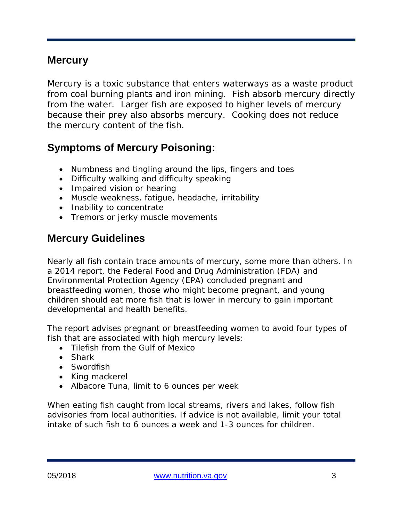#### **Mercury**

Mercury is a toxic substance that enters waterways as a waste product from coal burning plants and iron mining. Fish absorb mercury directly from the water. Larger fish are exposed to higher levels of mercury because their prey also absorbs mercury. Cooking does not reduce the mercury content of the fish.

# **Symptoms of Mercury Poisoning:**

- Numbness and tingling around the lips, fingers and toes
- Difficulty walking and difficulty speaking
- Impaired vision or hearing
- Muscle weakness, fatigue, headache, irritability
- Inability to concentrate
- Tremors or jerky muscle movements

## **Mercury Guidelines**

Nearly all fish contain trace amounts of mercury, some more than others. In a 2014 report, the Federal Food and Drug Administration (FDA) and Environmental Protection Agency (EPA) concluded pregnant and breastfeeding women, those who might become pregnant, and young children should eat more fish that is lower in mercury to gain important developmental and health benefits.

The report advises pregnant or breastfeeding women to avoid four types of fish that are associated with high mercury levels:

- Tilefish from the Gulf of Mexico
- Shark
- Swordfish
- King mackerel
- Albacore Tuna, limit to 6 ounces per week

When eating fish caught from local streams, rivers and lakes, follow fish advisories from local authorities. If advice is not available, limit your total intake of such fish to 6 ounces a week and 1-3 ounces for children.